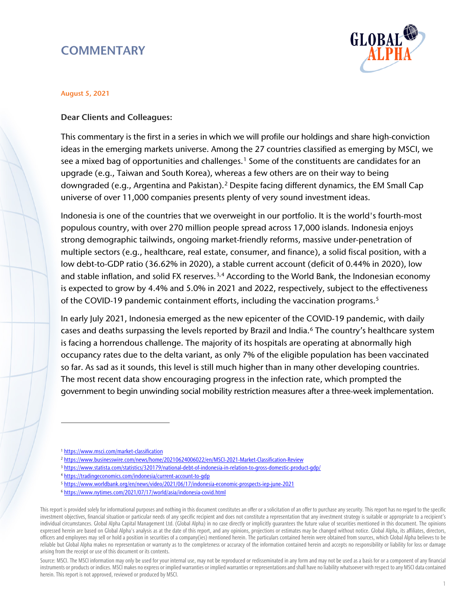# **COMMENTARY**



#### August 5, 2021

#### Dear Clients and Colleagues:

This commentary is the first in a series in which we will profile our holdings and share high-conviction ideas in the emerging markets universe. Among the 27 countries classified as emerging by MSCI, we see a mixed bag of opportunities and challenges.<sup>[1](#page-0-0)</sup> Some of the constituents are candidates for an upgrade (e.g., Taiwan and South Korea), whereas a few others are on their way to being downgraded (e.g., Argentina and Pakistan).<sup>[2](#page-0-1)</sup> Despite facing different dynamics, the EM Small Cap universe of over 11,000 companies presents plenty of very sound investment ideas.

Indonesia is one of the countries that we overweight in our portfolio. It is the world's fourth-most populous country, with over 270 million people spread across 17,000 islands. Indonesia enjoys strong demographic tailwinds, ongoing market-friendly reforms, massive under-penetration of multiple sectors (e.g., healthcare, real estate, consumer, and finance), a solid fiscal position, with a low debt-to-GDP ratio (36.62% in 2020), a stable current account (deficit of 0.44% in 2020), low and stable inflation, and solid FX reserves.<sup>[3](#page-0-2),[4](#page-0-3)</sup> According to the World Bank, the Indonesian economy is expected to grow by 4.4% and 5.0% in 2021 and 2022, respectively, subject to the effectiveness of the COVID-19 pandemic containment efforts, including the vaccination programs.<sup>[5](#page-0-4)</sup>

In early July 2021, Indonesia emerged as the new epicenter of the COVID-19 pandemic, with daily cases and deaths surpassing the levels reported by Brazil and India.[6](#page-0-5) The country's healthcare system is facing a horrendous challenge. The majority of its hospitals are operating at abnormally high occupancy rates due to the delta variant, as only 7% of the eligible population has been vaccinated so far. As sad as it sounds, this level is still much higher than in many other developing countries. The most recent data show encouraging progress in the infection rate, which prompted the government to begin unwinding social mobility restriction measures after a three-week implementation.

<span id="page-0-5"></span><span id="page-0-4"></span><span id="page-0-3"></span>This report is provided solely for informational purposes and nothing in this document constitutes an offer or a solicitation of an offer to purchase any security. This report has no regard to the specific investment objectives, financial situation or particular needs of any specific recipient and does not constitute a representation that any investment strategy is suitable or appropriate to a recipient's individual circumstances. Global Alpha Capital Management Ltd. (Global Alpha) in no case directly or implicitly guarantees the future value of securities mentioned in this document. The opinions expressed herein are based on Global Alpha's analysis as at the date of this report, and any opinions, projections or estimates may be changed without notice. Global Alpha, its affiliates, directors, officers and employees may sell or hold a position in securities of a company(ies) mentioned herein. The particulars contained herein were obtained from sources, which Global Alpha believes to be reliable but Global Alpha makes no representation or warranty as to the completeness or accuracy of the information contained herein and accepts no responsibility or liability for loss or damage arising from the receipt or use of this document or its contents.

Source: MSCI. The MSCI information may only be used for your internal use, may not be reproduced or redisseminated in any form and may not be used as a basis for or a component of any financial instruments or products or indices. MSCI makes no express or implied warranties or implied warranties or representations and shall have no liability whatsoever with respect to any MSCI data contained herein. This report is not approved, reviewed or produced by MSCI.

<span id="page-0-0"></span><sup>1</sup> <https://www.msci.com/market-classification>

<sup>2</sup> <https://www.businesswire.com/news/home/20210624006022/en/MSCI-2021-Market-Classification-Review>

<span id="page-0-2"></span><span id="page-0-1"></span><sup>3</sup> <https://www.statista.com/statistics/320179/national-debt-of-indonesia-in-relation-to-gross-domestic-product-gdp/>

<sup>4</sup> <https://tradingeconomics.com/indonesia/current-account-to-gdp>

<sup>5</sup> <https://www.worldbank.org/en/news/video/2021/06/17/indonesia-economic-prospects-iep-june-2021>

<sup>6</sup> <https://www.nytimes.com/2021/07/17/world/asia/indonesia-covid.html>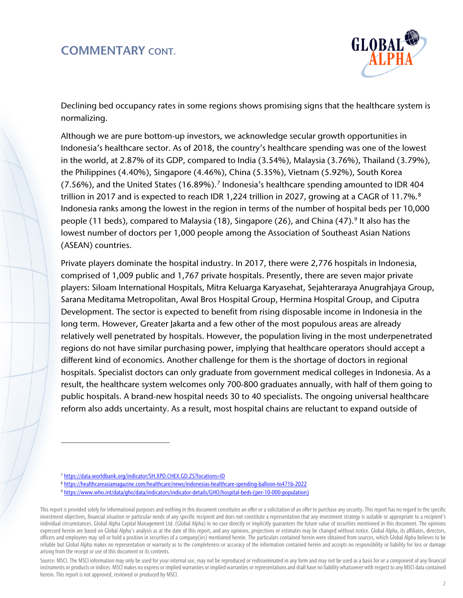

Declining bed occupancy rates in some regions shows promising signs that the healthcare system is normalizing.

Although we are pure bottom-up investors, we acknowledge secular growth opportunities in Indonesia's healthcare sector. As of 2018, the country's healthcare spending was one of the lowest in the world, at 2.87% of its GDP, compared to India (3.54%), Malaysia (3.76%), Thailand (3.79%), the Philippines (4.40%), Singapore (4.46%), China (5.35%), Vietnam (5.92%), South Korea (7.56%), and the United States (16.89%).[7](#page-1-0) Indonesia's healthcare spending amounted to IDR 404 trillion in 2017 and is expected to reach IDR 1,224 trillion in 2027, growing at a CAGR of 11.7%.<sup>[8](#page-1-1)</sup> Indonesia ranks among the lowest in the region in terms of the number of hospital beds per 10,000 people (11 beds), compared to Malaysia (18), Singapore (26), and China (47). <sup>[9](#page-1-2)</sup> It also has the lowest number of doctors per 1,000 people among the Association of Southeast Asian Nations (ASEAN) countries.

Private players dominate the hospital industry. In 2017, there were 2,776 hospitals in Indonesia, comprised of 1,009 public and 1,767 private hospitals. Presently, there are seven major private players: Siloam International Hospitals, Mitra Keluarga Karyasehat, Sejahteraraya Anugrahjaya Group, Sarana Meditama Metropolitan, Awal Bros Hospital Group, Hermina Hospital Group, and Ciputra Development. The sector is expected to benefit from rising disposable income in Indonesia in the long term. However, Greater Jakarta and a few other of the most populous areas are already relatively well penetrated by hospitals. However, the population living in the most underpenetrated regions do not have similar purchasing power, implying that healthcare operators should accept a different kind of economics. Another challenge for them is the shortage of doctors in regional hospitals. Specialist doctors can only graduate from government medical colleges in Indonesia. As a result, the healthcare system welcomes only 700-800 graduates annually, with half of them going to public hospitals. A brand-new hospital needs 30 to 40 specialists. The ongoing universal healthcare reform also adds uncertainty. As a result, most hospital chains are reluctant to expand outside of

l,

<sup>7</sup> <https://data.worldbank.org/indicator/SH.XPD.CHEX.GD.ZS?locations=ID>

<sup>8</sup> <https://healthcareasiamagazine.com/healthcare/news/indonesias-healthcare-spending-balloon-to471b-2022>

<sup>9</sup> [https://www.who.int/data/gho/data/indicators/indicator-details/GHO/hospital-beds-\(per-10-000-population\)](https://www.who.int/data/gho/data/indicators/indicator-details/GHO/hospital-beds-(per-10-000-population))

<span id="page-1-2"></span><span id="page-1-1"></span><span id="page-1-0"></span>This report is provided solely for informational purposes and nothing in this document constitutes an offer or a solicitation of an offer to purchase any security. This report has no regard to the specific investment objectives, financial situation or particular needs of any specific recipient and does not constitute a representation that any investment strategy is suitable or appropriate to a recipient's individual circumstances. Global Alpha Capital Management Ltd. (Global Alpha) in no case directly or implicitly guarantees the future value of securities mentioned in this document. The opinions expressed herein are based on Global Alpha's analysis as at the date of this report, and any opinions, projections or estimates may be changed without notice. Global Alpha, its affiliates, directors, officers and employees may sell or hold a position in securities of a company(ies) mentioned herein. The particulars contained herein were obtained from sources, which Global Alpha believes to be reliable but Global Alpha makes no representation or warranty as to the completeness or accuracy of the information contained herein and accepts no responsibility or liability for loss or damage arising from the receipt or use of this document or its contents.

Source: MSCI. The MSCI information may only be used for your internal use, may not be reproduced or redisseminated in any form and may not be used as a basis for or a component of any financial instruments or products or indices. MSCI makes no express or implied warranties or implied warranties or representations and shall have no liability whatsoever with respect to any MSCI data contained herein. This report is not approved, reviewed or produced by MSCI.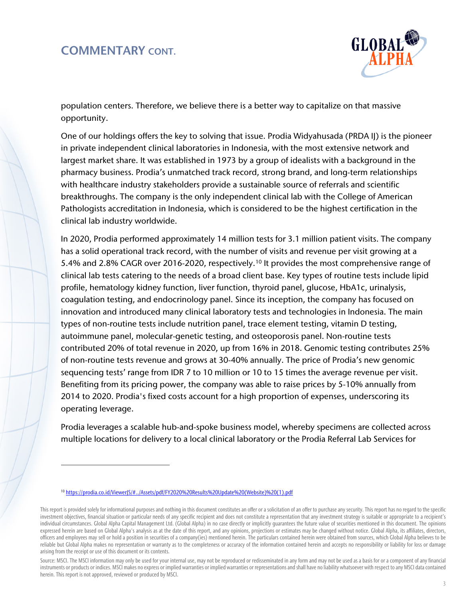

population centers. Therefore, we believe there is a better way to capitalize on that massive opportunity.

One of our holdings offers the key to solving that issue. Prodia Widyahusada (PRDA IJ) is the pioneer in private independent clinical laboratories in Indonesia, with the most extensive network and largest market share. It was established in 1973 by a group of idealists with a background in the pharmacy business. Prodia's unmatched track record, strong brand, and long-term relationships with healthcare industry stakeholders provide a sustainable source of referrals and scientific breakthroughs. The company is the only independent clinical lab with the College of American Pathologists accreditation in Indonesia, which is considered to be the highest certification in the clinical lab industry worldwide.

In 2020, Prodia performed approximately 14 million tests for 3.1 million patient visits. The company has a solid operational track record, with the number of visits and revenue per visit growing at a 5.4% and 2.8% CAGR over 2016-2020, respectively.<sup>[10](#page-2-0)</sup> It provides the most comprehensive range of clinical lab tests catering to the needs of a broad client base. Key types of routine tests include lipid profile, hematology kidney function, liver function, thyroid panel, glucose, HbA1c, urinalysis, coagulation testing, and endocrinology panel. Since its inception, the company has focused on innovation and introduced many clinical laboratory tests and technologies in Indonesia. The main types of non-routine tests include nutrition panel, trace element testing, vitamin D testing, autoimmune panel, molecular-genetic testing, and osteoporosis panel. Non-routine tests contributed 20% of total revenue in 2020, up from 16% in 2018. Genomic testing contributes 25% of non-routine tests revenue and grows at 30-40% annually. The price of Prodia's new genomic sequencing tests' range from IDR 7 to 10 million or 10 to 15 times the average revenue per visit. Benefiting from its pricing power, the company was able to raise prices by 5-10% annually from 2014 to 2020. Prodia's fixed costs account for a high proportion of expenses, underscoring its operating leverage.

Prodia leverages a scalable hub-and-spoke business model, whereby specimens are collected across multiple locations for delivery to a local clinical laboratory or the Prodia Referral Lab Services for

<sup>10</sup> [https://prodia.co.id/ViewerJS/#../Assets/pdf/FY2020%20Results%20Update%20\(Website\)%20\(1\).pdf](https://prodia.co.id/ViewerJS/#../Assets/pdf/FY2020%20Results%20Update%20(Website)%20(1).pdf)

<span id="page-2-0"></span>This report is provided solely for informational purposes and nothing in this document constitutes an offer or a solicitation of an offer to purchase any security. This report has no regard to the specific investment objectives, financial situation or particular needs of any specific recipient and does not constitute a representation that any investment strategy is suitable or appropriate to a recipient's individual circumstances. Global Alpha Capital Management Ltd. (Global Alpha) in no case directly or implicitly guarantees the future value of securities mentioned in this document. The opinions expressed herein are based on Global Alpha's analysis as at the date of this report, and any opinions, projections or estimates may be changed without notice. Global Alpha, its affiliates, directors, officers and employees may sell or hold a position in securities of a company(ies) mentioned herein. The particulars contained herein were obtained from sources, which Global Alpha believes to be reliable but Global Alpha makes no representation or warranty as to the completeness or accuracy of the information contained herein and accepts no responsibility or liability for loss or damage arising from the receipt or use of this document or its contents.

Source: MSCI. The MSCI information may only be used for your internal use, may not be reproduced or redisseminated in any form and may not be used as a basis for or a component of any financial instruments or products or indices. MSCI makes no express or implied warranties or implied warranties or representations and shall have no liability whatsoever with respect to any MSCI data contained herein. This report is not approved, reviewed or produced by MSCI.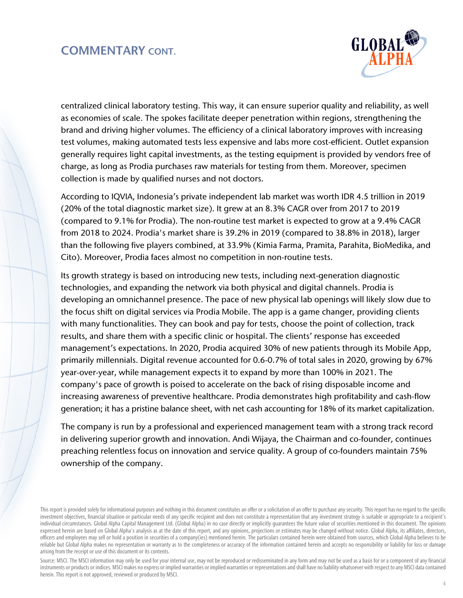

centralized clinical laboratory testing. This way, it can ensure superior quality and reliability, as well as economies of scale. The spokes facilitate deeper penetration within regions, strengthening the brand and driving higher volumes. The efficiency of a clinical laboratory improves with increasing test volumes, making automated tests less expensive and labs more cost-efficient. Outlet expansion generally requires light capital investments, as the testing equipment is provided by vendors free of charge, as long as Prodia purchases raw materials for testing from them. Moreover, specimen collection is made by qualified nurses and not doctors.

According to IQVIA, Indonesia's private independent lab market was worth IDR 4.5 trillion in 2019 (20% of the total diagnostic market size). It grew at an 8.3% CAGR over from 2017 to 2019 (compared to 9.1% for Prodia). The non-routine test market is expected to grow at a 9.4% CAGR from 2018 to 2024. Prodia's market share is 39.2% in 2019 (compared to 38.8% in 2018), larger than the following five players combined, at 33.9% (Kimia Farma, Pramita, Parahita, BioMedika, and Cito). Moreover, Prodia faces almost no competition in non-routine tests.

Its growth strategy is based on introducing new tests, including next-generation diagnostic technologies, and expanding the network via both physical and digital channels. Prodia is developing an omnichannel presence. The pace of new physical lab openings will likely slow due to the focus shift on digital services via Prodia Mobile. The app is a game changer, providing clients with many functionalities. They can book and pay for tests, choose the point of collection, track results, and share them with a specific clinic or hospital. The clients' response has exceeded management's expectations. In 2020, Prodia acquired 30% of new patients through its Mobile App, primarily millennials. Digital revenue accounted for 0.6-0.7% of total sales in 2020, growing by 67% year-over-year, while management expects it to expand by more than 100% in 2021. The company's pace of growth is poised to accelerate on the back of rising disposable income and increasing awareness of preventive healthcare. Prodia demonstrates high profitability and cash-flow generation; it has a pristine balance sheet, with net cash accounting for 18% of its market capitalization.

The company is run by a professional and experienced management team with a strong track record in delivering superior growth and innovation. Andi Wijaya, the Chairman and co-founder, continues preaching relentless focus on innovation and service quality. A group of co-founders maintain 75% ownership of the company.

Source: MSCI. The MSCI information may only be used for your internal use, may not be reproduced or redisseminated in any form and may not be used as a basis for or a component of any financial instruments or products or indices. MSCI makes no express or implied warranties or implied warranties or representations and shall have no liability whatsoever with respect to any MSCI data contained herein. This report is not approved, reviewed or produced by MSCI.

This report is provided solely for informational purposes and nothing in this document constitutes an offer or a solicitation of an offer to purchase any security. This report has no regard to the specific investment objectives, financial situation or particular needs of any specific recipient and does not constitute a representation that any investment strategy is suitable or appropriate to a recipient's individual circumstances. Global Alpha Capital Management Ltd. (Global Alpha) in no case directly or implicitly guarantees the future value of securities mentioned in this document. The opinions expressed herein are based on Global Alpha's analysis as at the date of this report, and any opinions, projections or estimates may be changed without notice. Global Alpha, its affiliates, directors, officers and employees may sell or hold a position in securities of a company(ies) mentioned herein. The particulars contained herein were obtained from sources, which Global Alpha believes to be reliable but Global Alpha makes no representation or warranty as to the completeness or accuracy of the information contained herein and accepts no responsibility or liability for loss or damage arising from the receipt or use of this document or its contents.